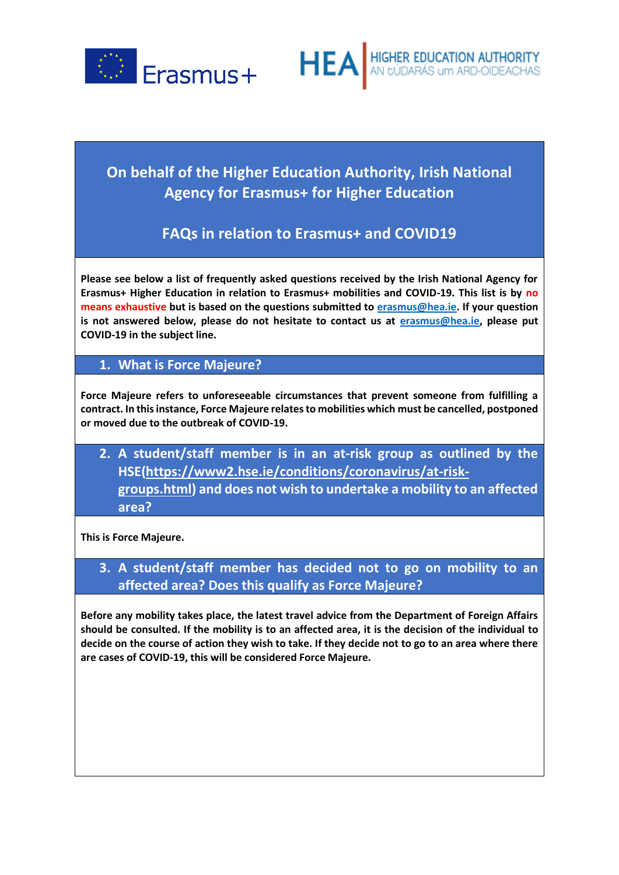



# **On behalf of the Higher Education Authority, Irish National Agency for Erasmus+ for Higher Education**

# **FAQs in relation to Erasmus+ and COVID19**

**Please see below a list of frequently asked questions received by the Irish National Agency for Erasmus+ Higher Education in relation to Erasmus+ mobilities and COVID-19. This list is by no means exhaustive but is based on the questions submitted t[o erasmus@hea.ie.](mailto:erasmus@hea.ie) If your question is not answered below, please do not hesitate to contact us at [erasmus@hea.ie,](mailto:erasmus@hea.ie) please put COVID-19 in the subject line.** 

#### **1. What is Force Majeure?**

**Force Majeure refers to unforeseeable circumstances that prevent someone from fulfilling a contract. In this instance, Force Majeure relates to mobilities which must be cancelled, postponed or moved due to the outbreak of COVID-19.** 

**2. A student/staff member is in an at-risk group as outlined by the HSE[\(https://www2.hse.ie/conditions/coronavirus/at-risk](https://www2.hse.ie/conditions/coronavirus/at-risk-groups.html)[groups.html\)](https://www2.hse.ie/conditions/coronavirus/at-risk-groups.html) and does not wish to undertake a mobility to an affected area?**

**This is Force Majeure.** 

**3. A student/staff member has decided not to go on mobility to an affected area? Does this qualify as Force Majeure?**

**Before any mobility takes place, the latest travel advice from the Department of Foreign Affairs should be consulted. If the mobility is to an affected area, it is the decision of the individual to decide on the course of action they wish to take. If they decide not to go to an area where there are cases of COVID-19, this will be considered Force Majeure.**